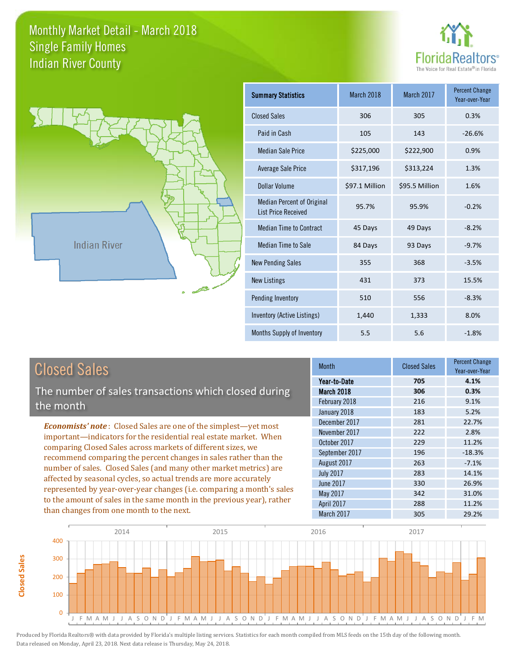

Percent Change



**Closed Sales**

**Closed Sales** 

| <b>Summary Statistics</b>                                       | March 2018     | March 2017     | <b>Percent Change</b><br>Year-over-Year |
|-----------------------------------------------------------------|----------------|----------------|-----------------------------------------|
| <b>Closed Sales</b>                                             | 306            | 305            | 0.3%                                    |
| Paid in Cash                                                    | 105            | 143            | $-26.6%$                                |
| <b>Median Sale Price</b>                                        | \$225,000      | \$222,900      | 0.9%                                    |
| <b>Average Sale Price</b>                                       | \$317,196      | \$313,224      | 1.3%                                    |
| Dollar Volume                                                   | \$97.1 Million | \$95.5 Million | 1.6%                                    |
| <b>Median Percent of Original</b><br><b>List Price Received</b> | 95.7%          | 95.9%          | $-0.2%$                                 |
| <b>Median Time to Contract</b>                                  | 45 Days        | 49 Days        | $-8.2%$                                 |
| <b>Median Time to Sale</b>                                      | 84 Days        | 93 Days        | $-9.7%$                                 |
| <b>New Pending Sales</b>                                        | 355            | 368            | $-3.5%$                                 |
| <b>New Listings</b>                                             | 431            | 373            | 15.5%                                   |
| Pending Inventory                                               | 510            | 556            | $-8.3%$                                 |
| Inventory (Active Listings)                                     | 1,440          | 1,333          | 8.0%                                    |
| Months Supply of Inventory                                      | 5.5            | 5.6            | $-1.8%$                                 |

| <b>Closed Sales</b>                                                                                                                                                                                   | <b>Month</b>                                                | <sub>CI</sub> |
|-------------------------------------------------------------------------------------------------------------------------------------------------------------------------------------------------------|-------------------------------------------------------------|---------------|
| The number of sales transactions which closed during<br>the month                                                                                                                                     | Year-to-Date<br>March 2018<br>February 2018<br>January 2018 |               |
| <b>Economists' note:</b> Closed Sales are one of the simplest—yet most<br>important-indicators for the residential real estate market. When                                                           | December 2017<br>November 2017<br>October 2017              |               |
| comparing Closed Sales across markets of different sizes, we<br>recommend comparing the percent changes in sales rather than the<br>number of sales. Closed Sales (and many other market metrics) are | September 2017<br>August 2017<br><b>July 2017</b>           |               |
| affected by seasonal cycles, so actual trends are more accurately<br>represented by year-over-year changes (i.e. comparing a month's sales                                                            | June 2017<br>May 2017                                       |               |

to the amount of sales in the same month in the previous year), rather than changes from one month to the next. April 2017 300 400

| 4.1%     |
|----------|
|          |
| 0.3%     |
| 9.1%     |
| 5.2%     |
| 22.7%    |
| 2.8%     |
| 11.2%    |
| $-18.3%$ |
| $-7.1%$  |
| 14.1%    |
| 26.9%    |
| 31.0%    |
| 11.2%    |
| 29.2%    |
|          |

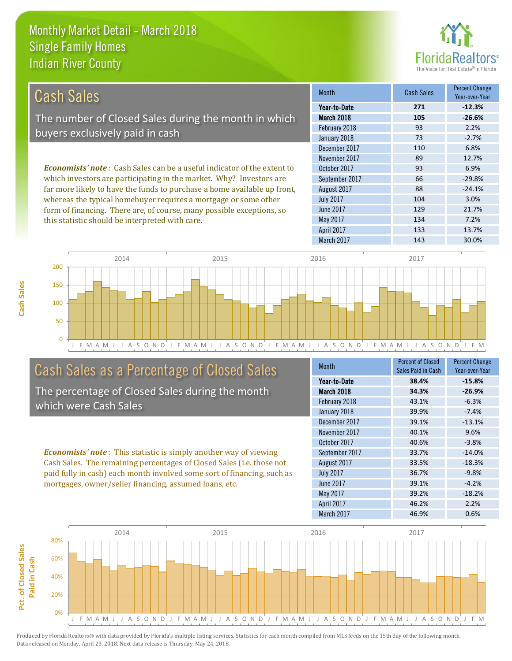this statistic should be interpreted with care.



134 7.2%

| Cash Sales                                                                     | <b>Month</b>     | Cash Sales | <b>Percent Change</b><br>Year-over-Year |
|--------------------------------------------------------------------------------|------------------|------------|-----------------------------------------|
|                                                                                | Year-to-Date     | 271        | $-12.3%$                                |
| The number of Closed Sales during the month in which                           | March 2018       | 105        | $-26.6%$                                |
|                                                                                | February 2018    | 93         | 2.2%                                    |
| buyers exclusively paid in cash                                                | January 2018     | 73         | $-2.7%$                                 |
|                                                                                | December 2017    | 110        | 6.8%                                    |
|                                                                                | November 2017    | 89         | 12.7%                                   |
| <b>Economists' note:</b> Cash Sales can be a useful indicator of the extent to | October 2017     | 93         | 6.9%                                    |
| which investors are participating in the market. Why? Investors are            | September 2017   | 66         | $-29.8%$                                |
| far more likely to have the funds to purchase a home available up front,       | August 2017      | 88         | $-24.1%$                                |
| whereas the typical homebuyer requires a mortgage or some other                | <b>July 2017</b> | 104        | 3.0%                                    |
| form of financing. There are, of course, many possible exceptions, so          | June 2017        | 129        | 21.7%                                   |

May 2017

March 2017 143 143 30.0% 50 100 150 200 2014 2015 2016 2017

J F M A M J J A S O N D J F M A M J J A S O N D J F M A M J J A S O N D J F M A M J J A S O N D J F M

# Cash Sales as a Percentage of Closed Sales

The percentage of Closed Sales during the month which were Cash Sales

*Economists' note* : This statistic is simply another way of viewing Cash Sales. The remaining percentages of Closed Sales (i.e. those not paid fully in cash) each month involved some sort of financing, such as mortgages, owner/seller financing, assumed loans, etc.

| <b>Month</b>     | <b>Percent of Closed</b> | <b>Percent Change</b> |
|------------------|--------------------------|-----------------------|
|                  | Sales Paid in Cash       | Year-over-Year        |
| Year-to-Date     | 38.4%                    | $-15.8%$              |
| March 2018       | 34.3%                    | $-26.9%$              |
| February 2018    | 43.1%                    | $-6.3%$               |
| January 2018     | 39.9%                    | $-7.4%$               |
| December 2017    | 39.1%                    | $-13.1%$              |
| November 2017    | 40.1%                    | 9.6%                  |
| October 2017     | 40.6%                    | $-3.8%$               |
| September 2017   | 33.7%                    | $-14.0%$              |
| August 2017      | 33.5%                    | $-18.3%$              |
| <b>July 2017</b> | 36.7%                    | $-9.8%$               |
| June 2017        | 39.1%                    | $-4.2%$               |
| May 2017         | 39.2%                    | $-18.2%$              |
| April 2017       | 46.2%                    | 2.2%                  |
| March 2017       | 46.9%                    | 0.6%                  |

April 2017 133 13.7%



Produced by Florida Realtors® with data provided by Florida's multiple listing services. Statistics for each month compiled from MLS feeds on the 15th day of the following month. Data released on Monday, April 23, 2018. Next data release is Thursday, May 24, 2018.

 $\Omega$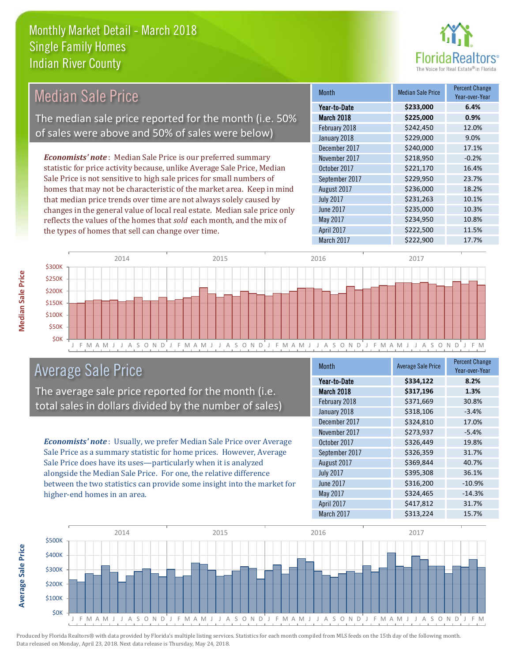the types of homes that sell can change over time.



| <b>Median Sale Price</b>                                                  | <b>Month</b>     | <b>Median Sale Price</b> | <b>Percent Change</b><br>Year-over-Year |
|---------------------------------------------------------------------------|------------------|--------------------------|-----------------------------------------|
|                                                                           | Year-to-Date     | \$233,000                | 6.4%                                    |
| The median sale price reported for the month (i.e. 50%                    | March 2018       | \$225,000                | 0.9%                                    |
| of sales were above and 50% of sales were below)                          | February 2018    | \$242,450                | 12.0%                                   |
|                                                                           | January 2018     | \$229,000                | 9.0%                                    |
|                                                                           | December 2017    | \$240,000                | 17.1%                                   |
| <b>Economists' note:</b> Median Sale Price is our preferred summary       | November 2017    | \$218,950                | $-0.2%$                                 |
| statistic for price activity because, unlike Average Sale Price, Median   | October 2017     | \$221,170                | 16.4%                                   |
| Sale Price is not sensitive to high sale prices for small numbers of      | September 2017   | \$229,950                | 23.7%                                   |
| homes that may not be characteristic of the market area. Keep in mind     | August 2017      | \$236,000                | 18.2%                                   |
| that median price trends over time are not always solely caused by        | <b>July 2017</b> | \$231,263                | 10.1%                                   |
| changes in the general value of local real estate. Median sale price only | June 2017        | \$235,000                | 10.3%                                   |
| reflects the values of the homes that sold each month, and the mix of     | May 2017         | \$234,950                | 10.8%                                   |



# Average Sale Price

The average sale price reported for the month (i.e. total sales in dollars divided by the number of sales)

*Economists' note* : Usually, we prefer Median Sale Price over Average Sale Price as a summary statistic for home prices. However, Average Sale Price does have its uses—particularly when it is analyzed alongside the Median Sale Price. For one, the relative difference between the two statistics can provide some insight into the market for higher-end homes in an area.

| <b>Month</b>     | <b>Average Sale Price</b> | <b>Percent Change</b><br>Year-over-Year |
|------------------|---------------------------|-----------------------------------------|
| Year-to-Date     | \$334,122                 | 8.2%                                    |
| March 2018       | \$317,196                 | 1.3%                                    |
| February 2018    | \$371,669                 | 30.8%                                   |
| January 2018     | \$318,106                 | $-3.4%$                                 |
| December 2017    | \$324,810                 | 17.0%                                   |
| November 2017    | \$273,937                 | $-5.4%$                                 |
| October 2017     | \$326,449                 | 19.8%                                   |
| September 2017   | \$326,359                 | 31.7%                                   |
| August 2017      | \$369,844                 | 40.7%                                   |
| <b>July 2017</b> | \$395,308                 | 36.1%                                   |
| <b>June 2017</b> | \$316,200                 | $-10.9%$                                |
| May 2017         | \$324,465                 | $-14.3%$                                |
| April 2017       | \$417,812                 | 31.7%                                   |
| March 2017       | \$313,224                 | 15.7%                                   |

April 2017 \$222,500 11.5% March 2017 **\$222,900** 17.7%



Produced by Florida Realtors® with data provided by Florida's multiple listing services. Statistics for each month compiled from MLS feeds on the 15th day of the following month. Data released on Monday, April 23, 2018. Next data release is Thursday, May 24, 2018.

**Average Sale Price**

**Average Sale Price**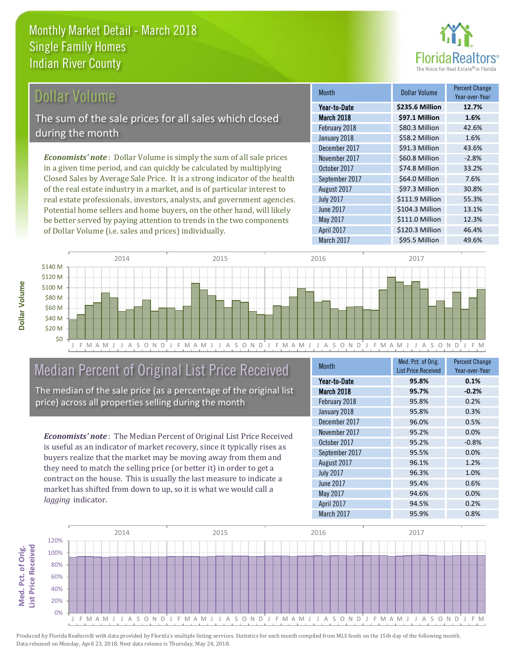

# Dollar Volume

The sum of the sale prices for all sales which closed during the month

*Economists' note* : Dollar Volume is simply the sum of all sale prices in a given time period, and can quickly be calculated by multiplying Closed Sales by Average Sale Price. It is a strong indicator of the health of the real estate industry in a market, and is of particular interest to real estate professionals, investors, analysts, and government agencies. Potential home sellers and home buyers, on the other hand, will likely be better served by paying attention to trends in the two components of Dollar Volume (i.e. sales and prices) individually.

| <b>Month</b>      | <b>Dollar Volume</b> | Percent Change<br>Year-over-Year |
|-------------------|----------------------|----------------------------------|
| Year-to-Date      | \$235.6 Million      | 12.7%                            |
| <b>March 2018</b> | \$97.1 Million       | 1.6%                             |
| February 2018     | \$80.3 Million       | 42.6%                            |
| January 2018      | \$58.2 Million       | 1.6%                             |
| December 2017     | \$91.3 Million       | 43.6%                            |
| November 2017     | \$60.8 Million       | $-2.8%$                          |
| October 2017      | \$74.8 Million       | 33.2%                            |
| September 2017    | \$64.0 Million       | 7.6%                             |
| August 2017       | \$97.3 Million       | 30.8%                            |
| <b>July 2017</b>  | \$111.9 Million      | 55.3%                            |
| <b>June 2017</b>  | \$104.3 Million      | 13.1%                            |
| <b>May 2017</b>   | \$111.0 Million      | 12.3%                            |
| April 2017        | \$120.3 Million      | 46.4%                            |
| March 2017        | \$95.5 Million       | 49.6%                            |



# Median Percent of Original List Price Received

The median of the sale price (as a percentage of the original list price) across all properties selling during the month

*Economists' note* : The Median Percent of Original List Price Received is useful as an indicator of market recovery, since it typically rises as buyers realize that the market may be moving away from them and they need to match the selling price (or better it) in order to get a contract on the house. This is usually the last measure to indicate a market has shifted from down to up, so it is what we would call a *lagging* indicator.

| <b>Month</b>     | Med. Pct. of Orig.         | <b>Percent Change</b> |  |
|------------------|----------------------------|-----------------------|--|
|                  | <b>List Price Received</b> | Year-over-Year        |  |
| Year-to-Date     | 95.8%                      | 0.1%                  |  |
| March 2018       | 95.7%                      | $-0.2%$               |  |
| February 2018    | 95.8%                      | 0.2%                  |  |
| January 2018     | 95.8%                      | 0.3%                  |  |
| December 2017    | 96.0%                      | 0.5%                  |  |
| November 2017    | 95.2%                      | 0.0%                  |  |
| October 2017     | 95.2%                      | $-0.8%$               |  |
| September 2017   | 95.5%                      | 0.0%                  |  |
| August 2017      | 96.1%                      | 1.2%                  |  |
| <b>July 2017</b> | 96.3%                      | 1.0%                  |  |
| June 2017        | 95.4%                      | 0.6%                  |  |
| May 2017         | 94.6%                      | 0.0%                  |  |
| April 2017       | 94.5%                      | 0.2%                  |  |
| March 2017       | 95.9%                      | 0.8%                  |  |



**Med. Pct. of Orig. ist Price Received** Med. Pct. of Orig.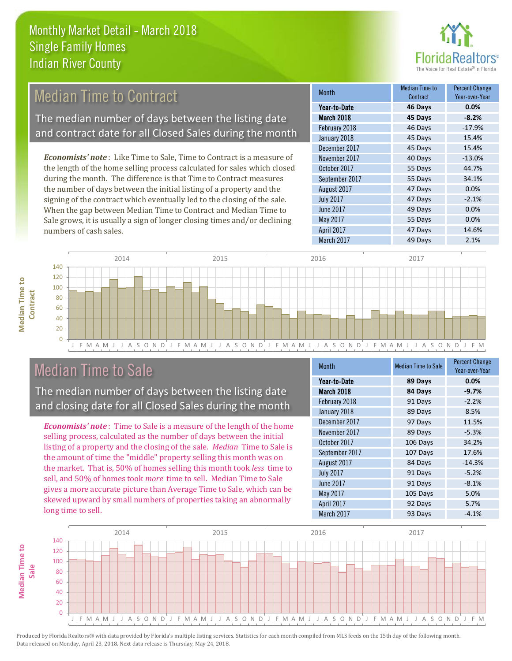

#### 45 Days 15.4% December 2017 45 Days 15.4% Month Median Time to Contract Percent Change Voor-over-Ver March 2018 **45 Days -8.2%** Year-to-Date **46 Days 0.0%** February 2018 46 Days -17.9% January 2018 September 2017 55 Days 34.1% November 2017 40 Days -13.0% October 2017 55 Days 44.7% *Economists' note* : Like Time to Sale, Time to Contract is a measure of the length of the home selling process calculated for sales which closed during the month. The difference is that Time to Contract measures Median Time to Contract The median number of days between the listing date and contract date for all Closed Sales during the month

the number of days between the initial listing of a property and the signing of the contract which eventually led to the closing of the sale. When the gap between Median Time to Contract and Median Time to Sale grows, it is usually a sign of longer closing times and/or declining numbers of cash sales.

| Year-to-Date      | 46 Days | 0.0%     |
|-------------------|---------|----------|
| <b>March 2018</b> | 45 Days | $-8.2%$  |
| February 2018     | 46 Days | $-17.9%$ |
| January 2018      | 45 Days | 15.4%    |
| December 2017     | 45 Days | 15.4%    |
| November 2017     | 40 Days | $-13.0%$ |
| October 2017      | 55 Days | 44.7%    |
| September 2017    | 55 Days | 34.1%    |
| August 2017       | 47 Days | 0.0%     |
| <b>July 2017</b>  | 47 Days | $-2.1%$  |
| <b>June 2017</b>  | 49 Days | 0.0%     |
| May 2017          | 55 Days | 0.0%     |
| April 2017        | 47 Days | 14.6%    |
| March 2017        | 49 Days | 2.1%     |





# Median Time to Sale

 $\Omega$ 

The median number of days between the listing date and closing date for all Closed Sales during the month

*Economists' note* : Time to Sale is a measure of the length of the home selling process, calculated as the number of days between the initial listing of a property and the closing of the sale. *Median* Time to Sale is the amount of time the "middle" property selling this month was on the market. That is, 50% of homes selling this month took *less* time to sell, and 50% of homes took *more* time to sell. Median Time to Sale gives a more accurate picture than Average Time to Sale, which can be skewed upward by small numbers of properties taking an abnormally long time to sell.

| <b>Month</b>     | <b>Median Time to Sale</b> | <b>Percent Change</b><br>Year-over-Year |
|------------------|----------------------------|-----------------------------------------|
| Year-to-Date     | 89 Days                    | 0.0%                                    |
| March 2018       | 84 Days                    | $-9.7%$                                 |
| February 2018    | 91 Days                    | $-2.2%$                                 |
| January 2018     | 89 Days                    | 8.5%                                    |
| December 2017    | 97 Days                    | 11.5%                                   |
| November 2017    | 89 Days                    | $-5.3%$                                 |
| October 2017     | 106 Days                   | 34.2%                                   |
| September 2017   | 107 Days                   | 17.6%                                   |
| August 2017      | 84 Days                    | $-14.3%$                                |
| <b>July 2017</b> | 91 Days                    | $-5.2%$                                 |
| June 2017        | 91 Days                    | $-8.1%$                                 |
| May 2017         | 105 Days                   | 5.0%                                    |
| April 2017       | 92 Days                    | 5.7%                                    |
| March 2017       | 93 Days                    | $-4.1%$                                 |

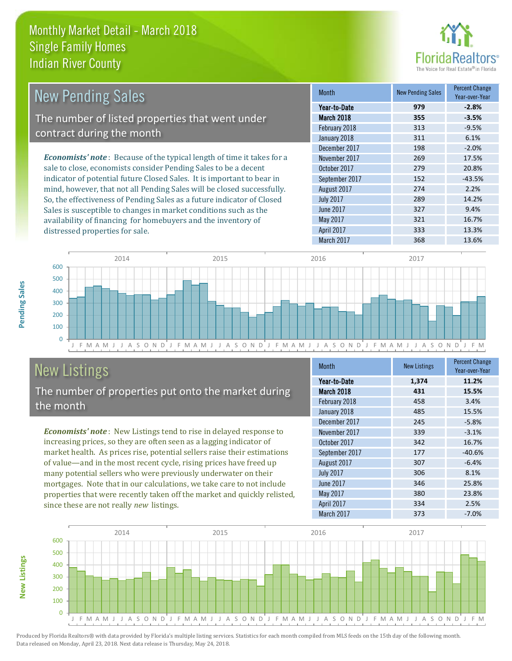

| <b>New Pending Sales</b>                                                      | <b>Month</b>     | <b>New Pending Sales</b> | <b>Percent Change</b><br>Year-over-Year |
|-------------------------------------------------------------------------------|------------------|--------------------------|-----------------------------------------|
|                                                                               | Year-to-Date     | 979                      | $-2.8%$                                 |
| The number of listed properties that went under                               | March 2018       | 355                      | $-3.5%$                                 |
|                                                                               | February 2018    | 313                      | $-9.5%$                                 |
| contract during the month                                                     | January 2018     | 311                      | 6.1%                                    |
|                                                                               | December 2017    | 198                      | $-2.0%$                                 |
| <b>Economists' note:</b> Because of the typical length of time it takes for a | November 2017    | 269                      | 17.5%                                   |
| sale to close, economists consider Pending Sales to be a decent               | October 2017     | 279                      | 20.8%                                   |
| indicator of potential future Closed Sales. It is important to bear in        | September 2017   | 152                      | $-43.5%$                                |
| mind, however, that not all Pending Sales will be closed successfully.        | August 2017      | 274                      | 2.2%                                    |
| So, the effectiveness of Pending Sales as a future indicator of Closed        | <b>July 2017</b> | 289                      | 14.2%                                   |
| Sales is susceptible to changes in market conditions such as the              | June 2017        | 327                      | 9.4%                                    |



# New Listings

distressed properties for sale.

The number of properties put onto the market during the month

availability of financing for homebuyers and the inventory of

*Economists' note* : New Listings tend to rise in delayed response to increasing prices, so they are often seen as a lagging indicator of market health. As prices rise, potential sellers raise their estimations of value—and in the most recent cycle, rising prices have freed up many potential sellers who were previously underwater on their mortgages. Note that in our calculations, we take care to not include properties that were recently taken off the market and quickly relisted, since these are not really *new* listings.

| Month            | <b>New Listings</b> | <b>Percent Change</b><br>Year-over-Year |
|------------------|---------------------|-----------------------------------------|
| Year-to-Date     | 1,374               | 11.2%                                   |
| March 2018       | 431                 | 15.5%                                   |
| February 2018    | 458                 | 3.4%                                    |
| January 2018     | 485                 | 15.5%                                   |
| December 2017    | 245                 | $-5.8%$                                 |
| November 2017    | 339                 | $-3.1%$                                 |
| October 2017     | 342                 | 16.7%                                   |
| September 2017   | 177                 | $-40.6%$                                |
| August 2017      | 307                 | $-6.4%$                                 |
| <b>July 2017</b> | 306                 | 8.1%                                    |
| June 2017        | 346                 | 25.8%                                   |
| May 2017         | 380                 | 23.8%                                   |
| April 2017       | 334                 | 2.5%                                    |
| March 2017       | 373                 | $-7.0%$                                 |

May 2017 321 16.7% April 2017 **333** 13.3%



Produced by Florida Realtors® with data provided by Florida's multiple listing services. Statistics for each month compiled from MLS feeds on the 15th day of the following month. Data released on Monday, April 23, 2018. Next data release is Thursday, May 24, 2018.

**New Listings**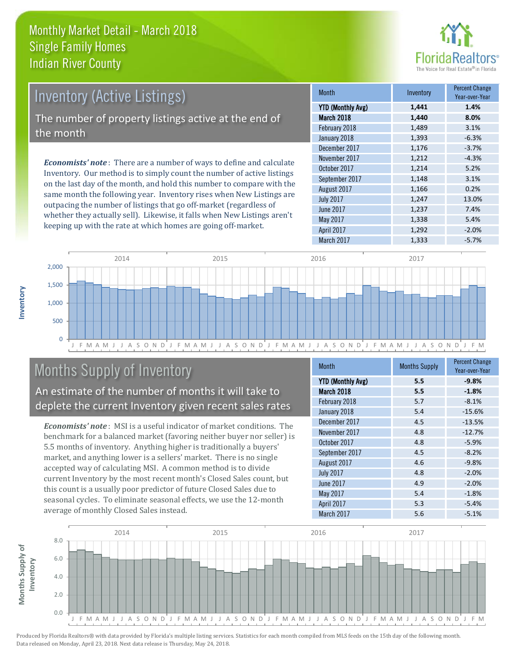

# Inventory (Active Listings) The number of property listings active at the end of the month

*Economists' note* : There are a number of ways to define and calculate Inventory. Our method is to simply count the number of active listings on the last day of the month, and hold this number to compare with the same month the following year. Inventory rises when New Listings are outpacing the number of listings that go off-market (regardless of whether they actually sell). Likewise, it falls when New Listings aren't keeping up with the rate at which homes are going off-market.

| <b>Month</b>             | Inventory | <b>Percent Change</b><br>Year-over-Year |
|--------------------------|-----------|-----------------------------------------|
| <b>YTD (Monthly Avg)</b> | 1,441     | 1.4%                                    |
| March 2018               | 1,440     | 8.0%                                    |
| February 2018            | 1,489     | 3.1%                                    |
| January 2018             | 1,393     | $-6.3%$                                 |
| December 2017            | 1,176     | $-3.7%$                                 |
| November 2017            | 1,212     | $-4.3%$                                 |
| October 2017             | 1,214     | 5.2%                                    |
| September 2017           | 1,148     | 3.1%                                    |
| August 2017              | 1,166     | 0.2%                                    |
| <b>July 2017</b>         | 1,247     | 13.0%                                   |
| June 2017                | 1,237     | 7.4%                                    |
| May 2017                 | 1,338     | 5.4%                                    |
| April 2017               | 1,292     | $-2.0%$                                 |
| March 2017               | 1,333     | $-5.7%$                                 |



# Months Supply of Inventory

An estimate of the number of months it will take to deplete the current Inventory given recent sales rates

*Economists' note* : MSI is a useful indicator of market conditions. The benchmark for a balanced market (favoring neither buyer nor seller) is 5.5 months of inventory. Anything higher is traditionally a buyers' market, and anything lower is a sellers' market. There is no single accepted way of calculating MSI. A common method is to divide current Inventory by the most recent month's Closed Sales count, but this count is a usually poor predictor of future Closed Sales due to seasonal cycles. To eliminate seasonal effects, we use the 12-month average of monthly Closed Sales instead.

| Month                    | <b>Months Supply</b> | <b>Percent Change</b><br>Year-over-Year |
|--------------------------|----------------------|-----------------------------------------|
| <b>YTD (Monthly Avg)</b> | 5.5                  | $-9.8%$                                 |
| March 2018               | 5.5                  | $-1.8%$                                 |
| February 2018            | 5.7                  | $-8.1%$                                 |
| January 2018             | 5.4                  | $-15.6%$                                |
| December 2017            | 4.5                  | $-13.5%$                                |
| November 2017            | 4.8                  | $-12.7%$                                |
| October 2017             | 4.8                  | $-5.9%$                                 |
| September 2017           | 4.5                  | $-8.2%$                                 |
| August 2017              | 4.6                  | $-9.8%$                                 |
| <b>July 2017</b>         | 4.8                  | $-2.0%$                                 |
| June 2017                | 4.9                  | $-2.0%$                                 |
| May 2017                 | 5.4                  | $-1.8%$                                 |
| April 2017               | 5.3                  | $-5.4%$                                 |
| March 2017               | 5.6                  | $-5.1%$                                 |

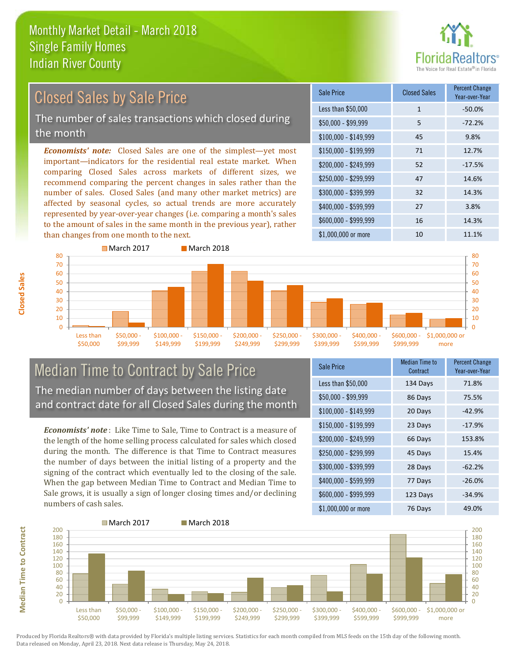

# Closed Sales by Sale Price

The number of sales transactions which closed during the month

*Economists' note:* Closed Sales are one of the simplest—yet most important—indicators for the residential real estate market. When comparing Closed Sales across markets of different sizes, we recommend comparing the percent changes in sales rather than the number of sales. Closed Sales (and many other market metrics) are affected by seasonal cycles, so actual trends are more accurately represented by year-over-year changes (i.e. comparing a month's sales to the amount of sales in the same month in the previous year), rather than changes from one month to the next.

| Sale Price            | <b>Closed Sales</b> | <b>Percent Change</b><br>Year-over-Year |
|-----------------------|---------------------|-----------------------------------------|
| Less than \$50,000    | 1                   | $-50.0%$                                |
| $$50,000 - $99,999$   | 5                   | $-72.2%$                                |
| $$100,000 - $149,999$ | 45                  | 9.8%                                    |
| $$150,000 - $199,999$ | 71                  | 12.7%                                   |
| \$200,000 - \$249,999 | 52                  | $-17.5%$                                |
| \$250,000 - \$299,999 | 47                  | 14.6%                                   |
| \$300,000 - \$399,999 | 32                  | 14.3%                                   |
| \$400,000 - \$599,999 | 27                  | 3.8%                                    |
| \$600,000 - \$999,999 | 16                  | 14.3%                                   |
| \$1,000,000 or more   | 10                  | 11.1%                                   |



#### Median Time to Contract by Sale Price The median number of days between the listing date and contract date for all Closed Sales during the month

*Economists' note* : Like Time to Sale, Time to Contract is a measure of the length of the home selling process calculated for sales which closed during the month. The difference is that Time to Contract measures the number of days between the initial listing of a property and the signing of the contract which eventually led to the closing of the sale. When the gap between Median Time to Contract and Median Time to Sale grows, it is usually a sign of longer closing times and/or declining numbers of cash sales.

| Sale Price            | Median Time to<br>Contract | <b>Percent Change</b><br>Year-over-Year |
|-----------------------|----------------------------|-----------------------------------------|
| Less than \$50,000    | 134 Days                   | 71.8%                                   |
| $$50,000 - $99,999$   | 86 Days                    | 75.5%                                   |
| $$100,000 - $149,999$ | 20 Days                    | $-42.9%$                                |
| $$150,000 - $199,999$ | 23 Days                    | $-17.9%$                                |
| \$200,000 - \$249,999 | 66 Days                    | 153.8%                                  |
| \$250,000 - \$299,999 | 45 Days                    | 15.4%                                   |
| \$300,000 - \$399,999 | 28 Days                    | $-62.2%$                                |
| \$400,000 - \$599,999 | 77 Days                    | $-26.0%$                                |
| \$600,000 - \$999,999 | 123 Days                   | $-34.9%$                                |
| \$1,000,000 or more   | 76 Days                    | 49.0%                                   |



Produced by Florida Realtors® with data provided by Florida's multiple listing services. Statistics for each month compiled from MLS feeds on the 15th day of the following month. Data released on Monday, April 23, 2018. Next data release is Thursday, May 24, 2018.

**Median Time to Contract**

**Median Time to Contract**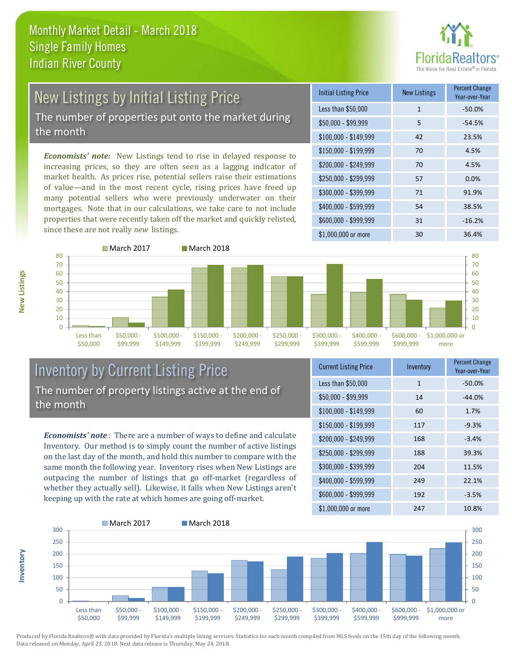

# New Listings by Initial Listing Price The number of properties put onto the market during

the month

*Economists' note:* New Listings tend to rise in delayed response to increasing prices, so they are often seen as a lagging indicator of market health. As prices rise, potential sellers raise their estimations of value—and in the most recent cycle, rising prices have freed up many potential sellers who were previously underwater on their mortgages. Note that in our calculations, we take care to not include properties that were recently taken off the market and quickly relisted, since these are not really *new* listings.

| <b>Initial Listing Price</b> | <b>New Listings</b> | <b>Percent Change</b><br>Year-over-Year |
|------------------------------|---------------------|-----------------------------------------|
| Less than \$50,000           | $\mathbf{1}$        | $-50.0%$                                |
| \$50,000 - \$99,999          | 5                   | $-54.5%$                                |
| $$100,000 - $149,999$        | 42                  | 23.5%                                   |
| $$150,000 - $199,999$        | 70                  | 4.5%                                    |
| \$200,000 - \$249,999        | 70                  | 4.5%                                    |
| \$250,000 - \$299,999        | 57                  | 0.0%                                    |
| \$300,000 - \$399,999        | 71                  | 91.9%                                   |
| \$400,000 - \$599,999        | 54                  | 38.5%                                   |
| \$600,000 - \$999,999        | 31                  | $-16.2%$                                |
| \$1,000,000 or more          | 30                  | 36.4%                                   |



### Inventory by Current Listing Price The number of property listings active at the end of the month

*Economists' note* : There are a number of ways to define and calculate Inventory. Our method is to simply count the number of active listings on the last day of the month, and hold this number to compare with the same month the following year. Inventory rises when New Listings are outpacing the number of listings that go off-market (regardless of whether they actually sell). Likewise, it falls when New Listings aren't keeping up with the rate at which homes are going off-market.

| <b>Current Listing Price</b> | Inventory    | Percent Change<br>Year-over-Year |
|------------------------------|--------------|----------------------------------|
| Less than \$50,000           | $\mathbf{1}$ | $-50.0%$                         |
| $$50,000 - $99,999$          | 14           | $-44.0%$                         |
| $$100,000 - $149,999$        | 60           | 1.7%                             |
| $$150,000 - $199,999$        | 117          | $-9.3%$                          |
| \$200,000 - \$249,999        | 168          | $-3.4%$                          |
| \$250,000 - \$299,999        | 188          | 39.3%                            |
| \$300,000 - \$399,999        | 204          | 11.5%                            |
| \$400,000 - \$599,999        | 249          | 22.1%                            |
| \$600,000 - \$999,999        | 192          | $-3.5%$                          |
| \$1,000,000 or more          | 247          | 10.8%                            |



Produced by Florida Realtors® with data provided by Florida's multiple listing services. Statistics for each month compiled from MLS feeds on the 15th day of the following month. Data released on Monday, April 23, 2018. Next data release is Thursday, May 24, 2018.

**Inventory**